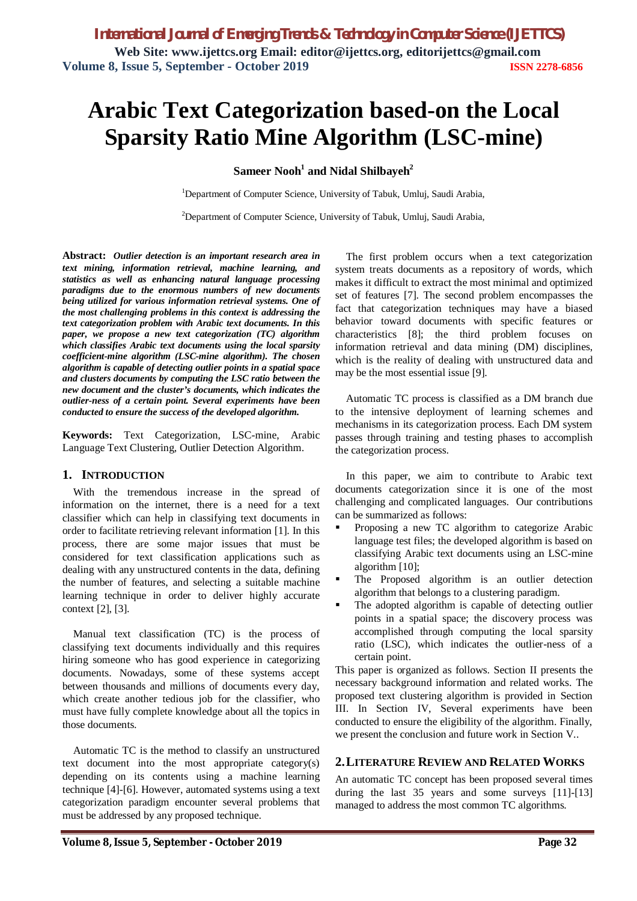*International Journal of Emerging Trends & Technology in Computer Science (IJETTCS)* **Web Site: www.ijettcs.org Email: editor@ijettcs.org, editorijettcs@gmail.com Volume 8, Issue 5, September - October 2019 ISSN 2278-6856**

# **Arabic Text Categorization based-on the Local Sparsity Ratio Mine Algorithm (LSC-mine)**

## **Sameer Nooh<sup>1</sup> and Nidal Shilbayeh<sup>2</sup>**

<sup>1</sup>Department of Computer Science, University of Tabuk, Umluj, Saudi Arabia,

<sup>2</sup>Department of Computer Science, University of Tabuk, Umluj, Saudi Arabia,

**Abstract:** *Outlier detection is an important research area in text mining, information retrieval, machine learning, and statistics as well as enhancing natural language processing paradigms due to the enormous numbers of new documents being utilized for various information retrieval systems. One of the most challenging problems in this context is addressing the text categorization problem with Arabic text documents. In this paper, we propose a new text categorization (TC) algorithm which classifies Arabic text documents using the local sparsity coefficient-mine algorithm (LSC-mine algorithm). The chosen algorithm is capable of detecting outlier points in a spatial space and clusters documents by computing the LSC ratio between the new document and the cluster's documents, which indicates the outlier-ness of a certain point. Several experiments have been conducted to ensure the success of the developed algorithm.*

**Keywords:** Text Categorization, LSC-mine, Arabic Language Text Clustering, Outlier Detection Algorithm.

#### **1. INTRODUCTION**

With the tremendous increase in the spread of information on the internet, there is a need for a text classifier which can help in classifying text documents in order to facilitate retrieving relevant information [1]. In this process, there are some major issues that must be considered for text classification applications such as dealing with any unstructured contents in the data, defining the number of features, and selecting a suitable machine learning technique in order to deliver highly accurate context [2], [3].

Manual text classification (TC) is the process of classifying text documents individually and this requires hiring someone who has good experience in categorizing documents. Nowadays, some of these systems accept between thousands and millions of documents every day, which create another tedious job for the classifier, who must have fully complete knowledge about all the topics in those documents.

Automatic TC is the method to classify an unstructured text document into the most appropriate category(s) depending on its contents using a machine learning technique [4]-[6]. However, automated systems using a text categorization paradigm encounter several problems that must be addressed by any proposed technique.

The first problem occurs when a text categorization system treats documents as a repository of words, which makes it difficult to extract the most minimal and optimized set of features [7]. The second problem encompasses the fact that categorization techniques may have a biased behavior toward documents with specific features or characteristics [8]; the third problem focuses on information retrieval and data mining (DM) disciplines, which is the reality of dealing with unstructured data and may be the most essential issue [9].

Automatic TC process is classified as a DM branch due to the intensive deployment of learning schemes and mechanisms in its categorization process. Each DM system passes through training and testing phases to accomplish the categorization process.

In this paper, we aim to contribute to Arabic text documents categorization since it is one of the most challenging and complicated languages. Our contributions can be summarized as follows:

- Proposing a new TC algorithm to categorize Arabic language test files; the developed algorithm is based on classifying Arabic text documents using an LSC-mine algorithm [10];
- The Proposed algorithm is an outlier detection algorithm that belongs to a clustering paradigm.
- The adopted algorithm is capable of detecting outlier points in a spatial space; the discovery process was accomplished through computing the local sparsity ratio (LSC), which indicates the outlier-ness of a certain point.

This paper is organized as follows. Section II presents the necessary background information and related works. The proposed text clustering algorithm is provided in Section III. In Section IV, Several experiments have been conducted to ensure the eligibility of the algorithm. Finally, we present the conclusion and future work in Section V..

#### **2.LITERATURE REVIEW AND RELATED WORKS**

An automatic TC concept has been proposed several times during the last 35 years and some surveys [11]-[13] managed to address the most common TC algorithms.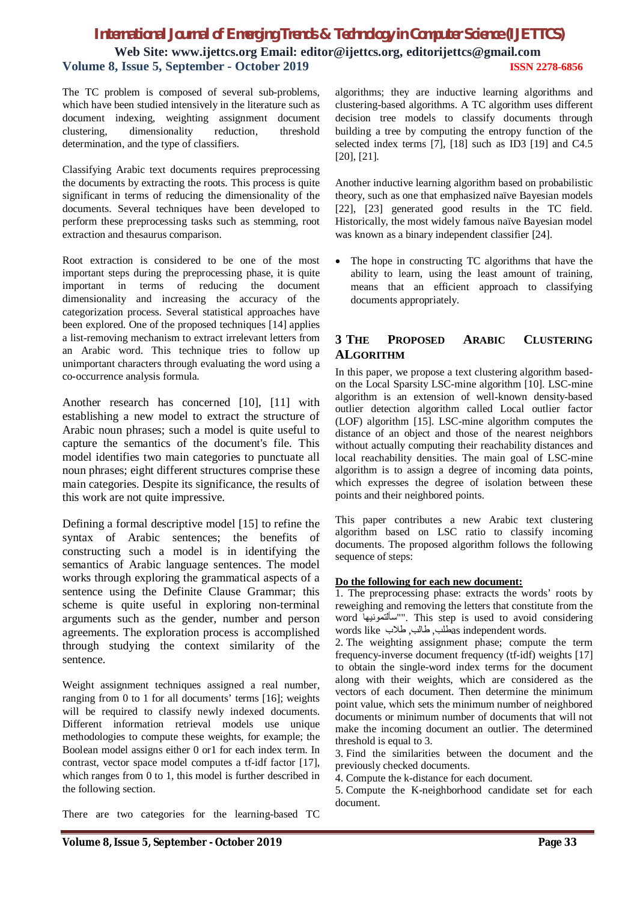# *International Journal of Emerging Trends & Technology in Computer Science (IJETTCS)* **Web Site: www.ijettcs.org Email: editor@ijettcs.org, editorijettcs@gmail.com Volume 8, Issue 5, September - October 2019 ISSN 2278-6856**

The TC problem is composed of several sub-problems, which have been studied intensively in the literature such as document indexing, weighting assignment document clustering, dimensionality reduction, threshold determination, and the type of classifiers.

Classifying Arabic text documents requires preprocessing the documents by extracting the roots. This process is quite significant in terms of reducing the dimensionality of the documents. Several techniques have been developed to perform these preprocessing tasks such as stemming, root extraction and thesaurus comparison.

Root extraction is considered to be one of the most important steps during the preprocessing phase, it is quite important in terms of reducing the document dimensionality and increasing the accuracy of the categorization process. Several statistical approaches have been explored. One of the proposed techniques [14] applies a list-removing mechanism to extract irrelevant letters from an Arabic word. This technique tries to follow up unimportant characters through evaluating the word using a co-occurrence analysis formula.

Another research has concerned [10], [11] with establishing a new model to extract the structure of Arabic noun phrases; such a model is quite useful to capture the semantics of the document's file. This model identifies two main categories to punctuate all noun phrases; eight different structures comprise these main categories. Despite its significance, the results of this work are not quite impressive.

Defining a formal descriptive model [15] to refine the syntax of Arabic sentences; the benefits of constructing such a model is in identifying the semantics of Arabic language sentences. The model works through exploring the grammatical aspects of a sentence using the Definite Clause Grammar; this scheme is quite useful in exploring non-terminal arguments such as the gender, number and person agreements. The exploration process is accomplished through studying the context similarity of the sentence.

Weight assignment techniques assigned a real number, ranging from 0 to 1 for all documents' terms [16]; weights will be required to classify newly indexed documents. Different information retrieval models use unique methodologies to compute these weights, for example; the Boolean model assigns either 0 or1 for each index term. In contrast, vector space model computes a tf-idf factor [17], which ranges from 0 to 1, this model is further described in the following section.

There are two categories for the learning-based TC

algorithms; they are inductive learning algorithms and clustering-based algorithms. A TC algorithm uses different decision tree models to classify documents through building a tree by computing the entropy function of the selected index terms [7], [18] such as ID3 [19] and C4.5 [20], [21].

Another inductive learning algorithm based on probabilistic theory, such as one that emphasized naïve Bayesian models [22], [23] generated good results in the TC field. Historically, the most widely famous naïve Bayesian model was known as a binary independent classifier [24].

 The hope in constructing TC algorithms that have the ability to learn, using the least amount of training, means that an efficient approach to classifying documents appropriately.

## **3 THE PROPOSED ARABIC CLUSTERING ALGORITHM**

In this paper, we propose a text clustering algorithm basedon the Local Sparsity LSC-mine algorithm [10]. LSC-mine algorithm is an extension of well-known density-based outlier detection algorithm called Local outlier factor (LOF) algorithm [15]. LSC-mine algorithm computes the distance of an object and those of the nearest neighbors without actually computing their reachability distances and local reachability densities. The main goal of LSC-mine algorithm is to assign a degree of incoming data points, which expresses the degree of isolation between these points and their neighbored points.

This paper contributes a new Arabic text clustering algorithm based on LSC ratio to classify incoming documents. The proposed algorithm follows the following sequence of steps:

#### **Do the following for each new document:**

1. The preprocessing phase: extracts the words' roots by reweighing and removing the letters that constitute from the word سألتمونیھا"". This step is used to avoid considering words like طلاب ,طالب ,طلبas independent words.

2. The weighting assignment phase; compute the term frequency-inverse document frequency (tf-idf) weights [17] to obtain the single-word index terms for the document along with their weights, which are considered as the vectors of each document. Then determine the minimum point value, which sets the minimum number of neighbored documents or minimum number of documents that will not make the incoming document an outlier. The determined threshold is equal to 3.

3. Find the similarities between the document and the previously checked documents.

- 4. Compute the k-distance for each document.
- 5. Compute the K-neighborhood candidate set for each document.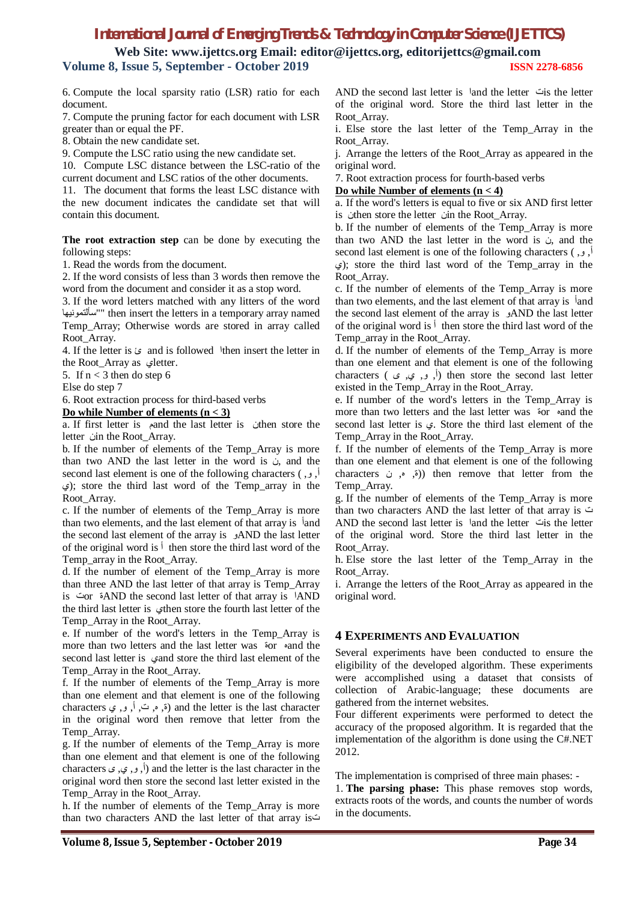# *International Journal of Emerging Trends & Technology in Computer Science (IJETTCS)*

**Web Site: www.ijettcs.org Email: editor@ijettcs.org, editorijettcs@gmail.com Volume 8, Issue 5, September - October 2019 ISSN 2278-6856**

6. Compute the local sparsity ratio (LSR) ratio for each document.

7. Compute the pruning factor for each document with LSR greater than or equal the PF.

8. Obtain the new candidate set.

9. Compute the LSC ratio using the new candidate set.

10. Compute LSC distance between the LSC-ratio of the current document and LSC ratios of the other documents.

11. The document that forms the least LSC distance with the new document indicates the candidate set that will contain this document.

**The root extraction step** can be done by executing the following steps:

1. Read the words from the document.

2. If the word consists of less than 3 words then remove the word from the document and consider it as a stop word.

3. If the word letters matched with any litters of the word سألتمونیھا ""then insert the letters in a temporary array named Temp\_Array; Otherwise words are stored in array called Root\_Array.

4. If the letter is ئ and is followed اthen insert the letter in the Root Array as  $\mathcal{L}$ etter.

5. If  $n < 3$  then do step 6

Else do step 7

6. Root extraction process for third-based verbs

**Do while Number of elements (n < 3)**

a. If first letter is مand the last letter is نthen store the letter  $\dot{\omega}$ in the Root Array.

b. If the number of elements of the Temp\_Array is more than two AND the last letter in the word is  $\dot{\phi}$ , and the second last element is one of the following characters ( ,و ,أ ي ;(store the third last word of the Temp\_array in the Root\_Array.

c. If the number of elements of the Temp\_Array is more than two elements, and the last element of that array is أand the second last element of the array is AND the last letter of the original word is  $\frac{1}{2}$  then store the third last word of the Temp\_array in the Root\_Array.

d. If the number of element of the Temp\_Array is more than three AND the last letter of that array is Temp\_Array is تor ةAND the second last letter of that array is اAND the third last letter is ethen store the fourth last letter of the Temp\_Array in the Root\_Array.

e. If number of the word's letters in the Temp\_Array is more than two letters and the last letter was ةor هand the second last letter is  $\epsilon$ and store the third last element of the Temp\_Array in the Root\_Array.

f. If the number of elements of the Temp\_Array is more than one element and that element is one of the following characters (ق, م, ت, أ, و, ي, characters (ق, م, ت, أ, و, ي, entracters in the original word then remove that letter from the Temp\_Array.

g. If the number of elements of the Temp\_Array is more than one element and that element is one of the following characters  $($ ,  $($ ,  $($ ,  $)$ ,  $($ ) and the letter is the last character in the original word then store the second last letter existed in the Temp\_Array in the Root\_Array.

h. If the number of elements of the Temp\_Array is more than two characters AND the last letter of that array isت AND the second last letter is اand the letter تis the letter of the original word. Store the third last letter in the Root\_Array.

i. Else store the last letter of the Temp\_Array in the Root\_Array.

j. Arrange the letters of the Root\_Array as appeared in the original word.

7. Root extraction process for fourth-based verbs

#### **Do while Number of elements (n < 4)**

a. If the word's letters is equal to five or six AND first letter is *i*then store the letter *in* the Root\_Array.

b. If the number of elements of the Temp\_Array is more than two AND the last letter in the word is  $\dot{\phi}$ , and the second last element is one of the following characters  $\left( \cdot, \cdot \right)$  $(5)$ ; store the third last word of the Temp array in the Root\_Array.

c. If the number of elements of the Temp\_Array is more than two elements, and the last element of that array is أand the second last element of the array is **AND** the last letter of the original word is  $\phi$  then store the third last word of the Temp\_array in the Root\_Array.

d. If the number of elements of the Temp\_Array is more than one element and that element is one of the following characters (  $\epsilon$ ,  $\epsilon$ ,  $\epsilon$ ,  $\epsilon$ ) then store the second last letter existed in the Temp\_Array in the Root\_Array.

e. If number of the word's letters in the Temp\_Array is more than two letters and the last letter was ةor هand the second last letter is ي. Store the third last element of the Temp\_Array in the Root\_Array.

f. If the number of elements of the Temp\_Array is more than one element and that element is one of the following characters ن) then remove that letter from the Temp\_Array.

g. If the number of elements of the Temp\_Array is more than two characters AND the last letter of that array is ت AND the second last letter is اand the letter تis the letter of the original word. Store the third last letter in the Root\_Array.

h. Else store the last letter of the Temp\_Array in the Root\_Array.

i. Arrange the letters of the Root\_Array as appeared in the original word.

#### **4 EXPERIMENTS AND EVALUATION**

Several experiments have been conducted to ensure the eligibility of the developed algorithm. These experiments were accomplished using a dataset that consists of collection of Arabic-language; these documents are gathered from the internet websites.

Four different experiments were performed to detect the accuracy of the proposed algorithm. It is regarded that the implementation of the algorithm is done using the C#.NET 2012.

The implementation is comprised of three main phases: -

1. **The parsing phase:** This phase removes stop words, extracts roots of the words, and counts the number of words in the documents.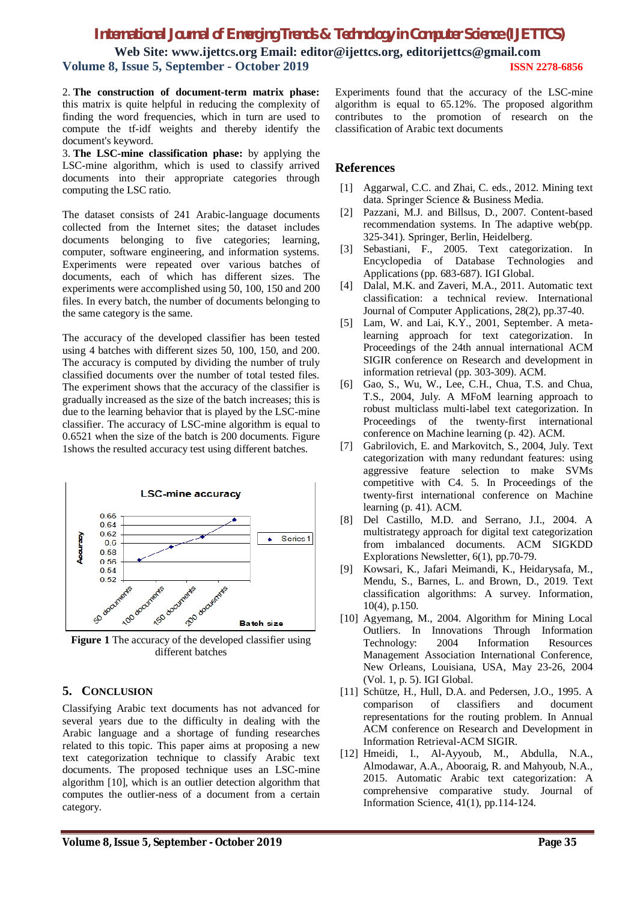# *International Journal of Emerging Trends & Technology in Computer Science (IJETTCS)*

**Web Site: www.ijettcs.org Email: editor@ijettcs.org, editorijettcs@gmail.com Volume 8, Issue 5, September - October 2019 ISSN 2278-6856**

2. **The construction of document-term matrix phase:** this matrix is quite helpful in reducing the complexity of finding the word frequencies, which in turn are used to compute the tf-idf weights and thereby identify the document's keyword.

3. **The LSC-mine classification phase:** by applying the LSC-mine algorithm, which is used to classify arrived documents into their appropriate categories through computing the LSC ratio.

The dataset consists of 241 Arabic-language documents collected from the Internet sites; the dataset includes documents belonging to five categories; learning, computer, software engineering, and information systems. Experiments were repeated over various batches of documents, each of which has different sizes. The experiments were accomplished using 50, 100, 150 and 200 files. In every batch, the number of documents belonging to the same category is the same.

The accuracy of the developed classifier has been tested using 4 batches with different sizes 50, 100, 150, and 200. The accuracy is computed by dividing the number of truly classified documents over the number of total tested files. The experiment shows that the accuracy of the classifier is gradually increased as the size of the batch increases; this is due to the learning behavior that is played by the LSC-mine classifier. The accuracy of LSC-mine algorithm is equal to 0.6521 when the size of the batch is 200 documents. Figure 1shows the resulted accuracy test using different batches.



**Figure 1** The accuracy of the developed classifier using different batches

## **5. CONCLUSION**

Classifying Arabic text documents has not advanced for several years due to the difficulty in dealing with the Arabic language and a shortage of funding researches related to this topic. This paper aims at proposing a new text categorization technique to classify Arabic text documents. The proposed technique uses an LSC-mine algorithm [10], which is an outlier detection algorithm that computes the outlier-ness of a document from a certain category.

Experiments found that the accuracy of the LSC-mine algorithm is equal to 65.12%. The proposed algorithm contributes to the promotion of research on the classification of Arabic text documents

### **References**

- [1] Aggarwal, C.C. and Zhai, C. eds., 2012. Mining text data. Springer Science & Business Media.
- [2] Pazzani, M.J. and Billsus, D., 2007. Content-based recommendation systems. In The adaptive web(pp. 325-341). Springer, Berlin, Heidelberg.
- [3] Sebastiani, F., 2005. Text categorization. In Encyclopedia of Database Technologies and Applications (pp. 683-687). IGI Global.
- [4] Dalal, M.K. and Zaveri, M.A., 2011. Automatic text classification: a technical review. International Journal of Computer Applications, 28(2), pp.37-40.
- [5] Lam, W. and Lai, K.Y., 2001, September. A metalearning approach for text categorization. In Proceedings of the 24th annual international ACM SIGIR conference on Research and development in information retrieval (pp. 303-309). ACM.
- [6] Gao, S., Wu, W., Lee, C.H., Chua, T.S. and Chua, T.S., 2004, July. A MFoM learning approach to robust multiclass multi-label text categorization. In Proceedings of the twenty-first international conference on Machine learning (p. 42). ACM.
- [7] Gabrilovich, E. and Markovitch, S., 2004, July. Text categorization with many redundant features: using aggressive feature selection to make SVMs competitive with C4. 5. In Proceedings of the twenty-first international conference on Machine learning (p. 41). ACM.
- [8] Del Castillo, M.D. and Serrano, J.I., 2004. A multistrategy approach for digital text categorization from imbalanced documents. ACM SIGKDD Explorations Newsletter, 6(1), pp.70-79.
- [9] Kowsari, K., Jafari Meimandi, K., Heidarysafa, M., Mendu, S., Barnes, L. and Brown, D., 2019. Text classification algorithms: A survey. Information, 10(4), p.150.
- [10] Agyemang, M., 2004. Algorithm for Mining Local Outliers. In Innovations Through Information Technology: 2004 Information Resources Management Association International Conference, New Orleans, Louisiana, USA, May 23-26, 2004 (Vol. 1, p. 5). IGI Global.
- [11] Schütze, H., Hull, D.A. and Pedersen, J.O., 1995. A comparison of classifiers and document representations for the routing problem. In Annual ACM conference on Research and Development in Information Retrieval-ACM SIGIR.
- [12] Hmeidi, I., Al-Ayyoub, M., Abdulla, N.A., Almodawar, A.A., Abooraig, R. and Mahyoub, N.A., 2015. Automatic Arabic text categorization: A comprehensive comparative study. Journal of Information Science, 41(1), pp.114-124.